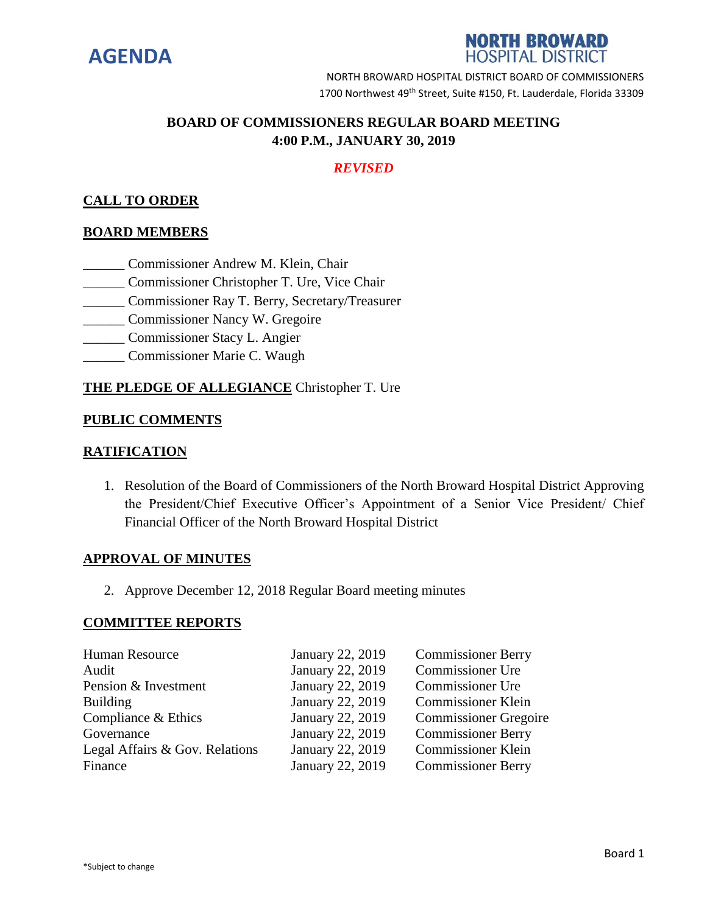

## **NORTH BROWARD HOSPITAL DISTRICT**

NORTH BROWARD HOSPITAL DISTRICT BOARD OF COMMISSIONERS 1700 Northwest 49<sup>th</sup> Street, Suite #150, Ft. Lauderdale, Florida 33309

# **BOARD OF COMMISSIONERS REGULAR BOARD MEETING 4:00 P.M., JANUARY 30, 2019**

# *REVISED*

# **CALL TO ORDER**

## **BOARD MEMBERS**

- \_\_\_\_\_\_ Commissioner Andrew M. Klein, Chair
- \_\_\_\_\_\_ Commissioner Christopher T. Ure, Vice Chair
- \_\_\_\_\_\_ Commissioner Ray T. Berry, Secretary/Treasurer
- \_\_\_\_\_\_ Commissioner Nancy W. Gregoire
- \_\_\_\_\_\_ Commissioner Stacy L. Angier
- \_\_\_\_\_\_ Commissioner Marie C. Waugh

## **THE PLEDGE OF ALLEGIANCE** Christopher T. Ure

### **PUBLIC COMMENTS**

## **RATIFICATION**

1. Resolution of the Board of Commissioners of the North Broward Hospital District Approving the President/Chief Executive Officer's Appointment of a Senior Vice President/ Chief Financial Officer of the North Broward Hospital District

### **APPROVAL OF MINUTES**

2. Approve December 12, 2018 Regular Board meeting minutes

### **COMMITTEE REPORTS**

| Human Resource                 | January 22, 2019 | <b>Commissioner Berry</b>    |
|--------------------------------|------------------|------------------------------|
| Audit                          | January 22, 2019 | <b>Commissioner Ure</b>      |
| Pension & Investment           | January 22, 2019 | Commissioner Ure             |
| <b>Building</b>                | January 22, 2019 | <b>Commissioner Klein</b>    |
| Compliance & Ethics            | January 22, 2019 | <b>Commissioner Gregoire</b> |
| Governance                     | January 22, 2019 | <b>Commissioner Berry</b>    |
| Legal Affairs & Gov. Relations | January 22, 2019 | <b>Commissioner Klein</b>    |
| Finance                        | January 22, 2019 | <b>Commissioner Berry</b>    |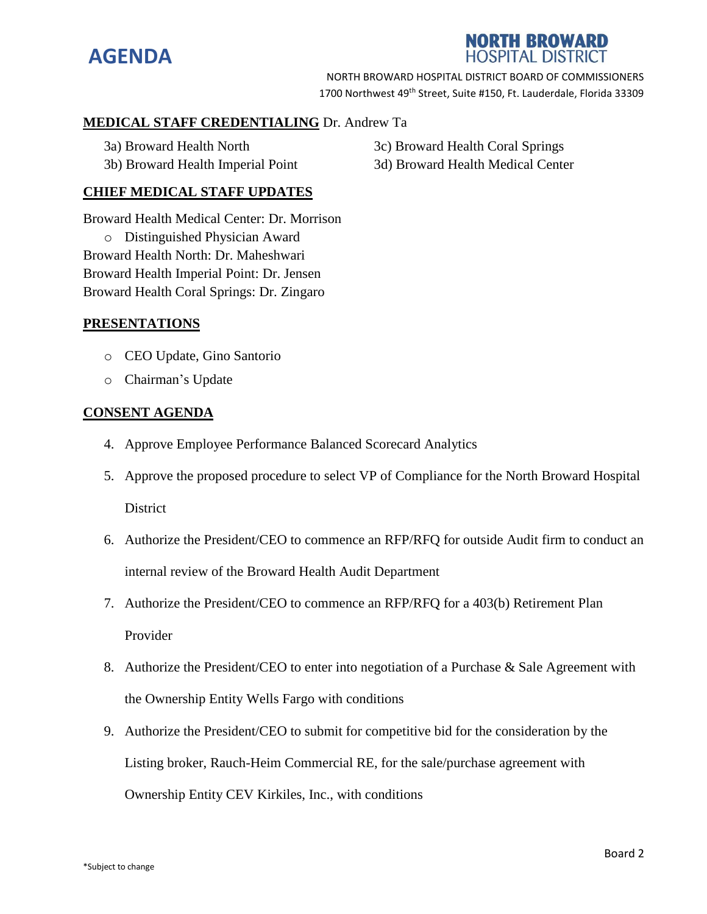



NORTH BROWARD HOSPITAL DISTRICT BOARD OF COMMISSIONERS 1700 Northwest 49<sup>th</sup> Street, Suite #150, Ft. Lauderdale, Florida 33309

## **MEDICAL STAFF CREDENTIALING** Dr. Andrew Ta

| 3a) Broward Health North         |  |  |
|----------------------------------|--|--|
| 3b) Broward Health Imperial Poil |  |  |

- 3c) Broward Health Coral Springs
- 3b) Broward Health Imperial Point 3d) Broward Health Medical Center

### **CHIEF MEDICAL STAFF UPDATES**

Broward Health Medical Center: Dr. Morrison

o Distinguished Physician Award Broward Health North: Dr. Maheshwari Broward Health Imperial Point: Dr. Jensen Broward Health Coral Springs: Dr. Zingaro

### **PRESENTATIONS**

- o CEO Update, Gino Santorio
- o Chairman's Update

#### **CONSENT AGENDA**

- 4. Approve Employee Performance Balanced Scorecard Analytics
- 5. Approve the proposed procedure to select VP of Compliance for the North Broward Hospital **District**
- 6. Authorize the President/CEO to commence an RFP/RFQ for outside Audit firm to conduct an internal review of the Broward Health Audit Department
- 7. Authorize the President/CEO to commence an RFP/RFQ for a 403(b) Retirement Plan Provider
- 8. Authorize the President/CEO to enter into negotiation of a Purchase & Sale Agreement with the Ownership Entity Wells Fargo with conditions
- 9. Authorize the President/CEO to submit for competitive bid for the consideration by the Listing broker, Rauch-Heim Commercial RE, for the sale/purchase agreement with Ownership Entity CEV Kirkiles, Inc., with conditions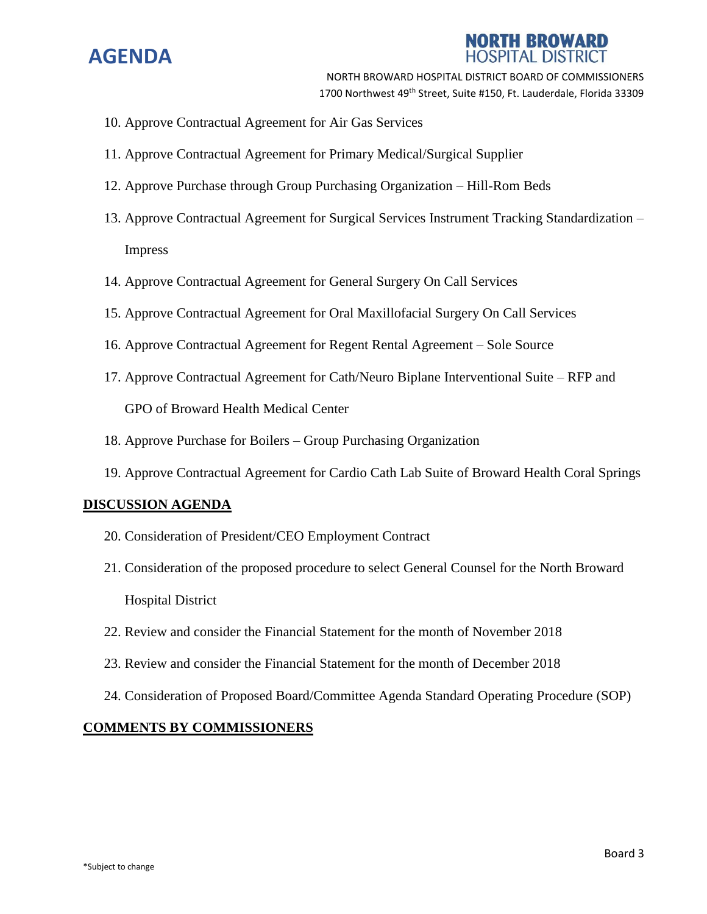

# RTH BROWARI **HOSPITAL DISTRICT**

NORTH BROWARD HOSPITAL DISTRICT BOARD OF COMMISSIONERS 1700 Northwest 49<sup>th</sup> Street, Suite #150, Ft. Lauderdale, Florida 33309

- 10. Approve Contractual Agreement for Air Gas Services
- 11. Approve Contractual Agreement for Primary Medical/Surgical Supplier
- 12. Approve Purchase through Group Purchasing Organization Hill-Rom Beds
- 13. Approve Contractual Agreement for Surgical Services Instrument Tracking Standardization Impress
- 14. Approve Contractual Agreement for General Surgery On Call Services
- 15. Approve Contractual Agreement for Oral Maxillofacial Surgery On Call Services
- 16. Approve Contractual Agreement for Regent Rental Agreement Sole Source
- 17. Approve Contractual Agreement for Cath/Neuro Biplane Interventional Suite RFP and GPO of Broward Health Medical Center
- 18. Approve Purchase for Boilers Group Purchasing Organization
- 19. Approve Contractual Agreement for Cardio Cath Lab Suite of Broward Health Coral Springs

#### **DISCUSSION AGENDA**

- 20. Consideration of President/CEO Employment Contract
- 21. Consideration of the proposed procedure to select General Counsel for the North Broward Hospital District
- 22. Review and consider the Financial Statement for the month of November 2018
- 23. Review and consider the Financial Statement for the month of December 2018
- 24. Consideration of Proposed Board/Committee Agenda Standard Operating Procedure (SOP)

#### **COMMENTS BY COMMISSIONERS**